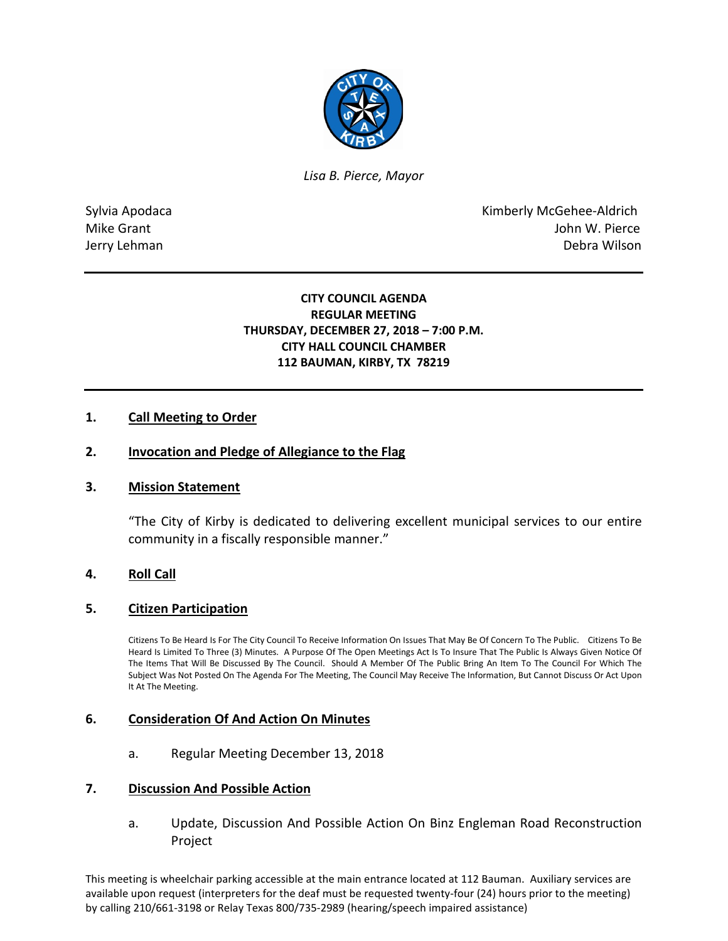

*Lisa B. Pierce, Mayor* 

Sylvia Apodaca **Kimberly McGehee-Aldrich** Mike Grant **Mike Grant** John W. Pierce Jerry Lehman Debra Wilson

## **CITY COUNCIL AGENDA REGULAR MEETING THURSDAY, DECEMBER 27, 2018 – 7:00 P.M. CITY HALL COUNCIL CHAMBER 112 BAUMAN, KIRBY, TX 78219**

## **1. Call Meeting to Order**

### **2. Invocation and Pledge of Allegiance to the Flag**

#### **3. Mission Statement**

"The City of Kirby is dedicated to delivering excellent municipal services to our entire community in a fiscally responsible manner."

#### **4. Roll Call**

#### **5. Citizen Participation**

Citizens To Be Heard Is For The City Council To Receive Information On Issues That May Be Of Concern To The Public. Citizens To Be Heard Is Limited To Three (3) Minutes. A Purpose Of The Open Meetings Act Is To Insure That The Public Is Always Given Notice Of The Items That Will Be Discussed By The Council. Should A Member Of The Public Bring An Item To The Council For Which The Subject Was Not Posted On The Agenda For The Meeting, The Council May Receive The Information, But Cannot Discuss Or Act Upon It At The Meeting.

#### **6. Consideration Of And Action On Minutes**

a. Regular Meeting December 13, 2018

#### **7. Discussion And Possible Action**

a. Update, Discussion And Possible Action On Binz Engleman Road Reconstruction Project

This meeting is wheelchair parking accessible at the main entrance located at 112 Bauman. Auxiliary services are available upon request (interpreters for the deaf must be requested twenty-four (24) hours prior to the meeting) by calling 210/661-3198 or Relay Texas 800/735-2989 (hearing/speech impaired assistance)